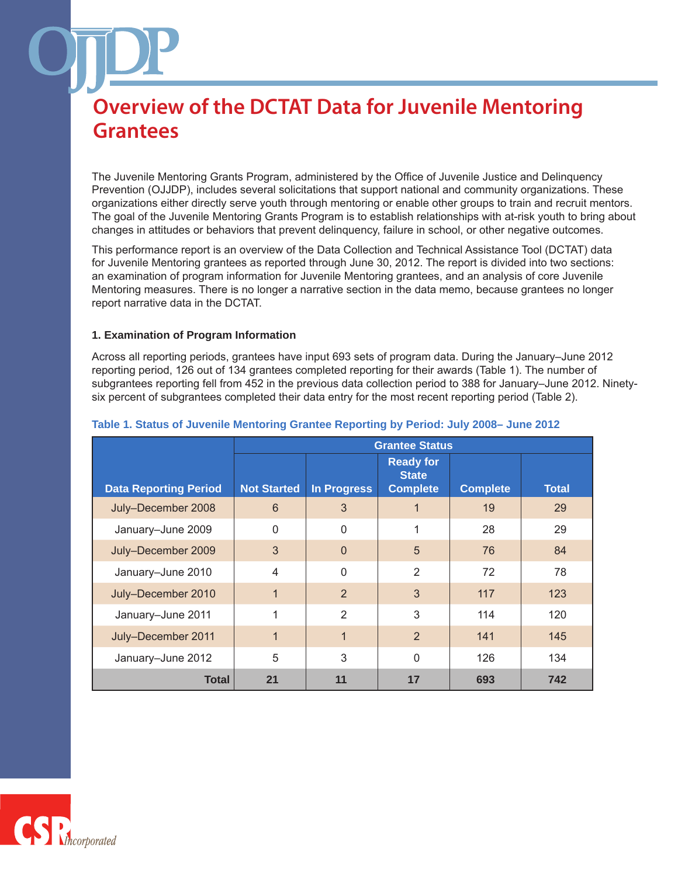The Juvenile Mentoring Grants Program, administered by the Office of Juvenile Justice and Delinquency Prevention (OJJDP), includes several solicitations that support national and community organizations. These organizations either directly serve youth through mentoring or enable other groups to train and recruit mentors. The goal of the Juvenile Mentoring Grants Program is to establish relationships with at-risk youth to bring about changes in attitudes or behaviors that prevent delinquency, failure in school, or other negative outcomes.

This performance report is an overview of the Data Collection and Technical Assistance Tool (DCTAT) data for Juvenile Mentoring grantees as reported through June 30, 2012. The report is divided into two sections: an examination of program information for Juvenile Mentoring grantees, and an analysis of core Juvenile Mentoring measures. There is no longer a narrative section in the data memo, because grantees no longer report narrative data in the DCTAT.

### **1. Examination of Program Information**

Across all reporting periods, grantees have input 693 sets of program data. During the January–June 2012 reporting period, 126 out of 134 grantees completed reporting for their awards (Table 1). The number of subgrantees reporting fell from 452 in the previous data collection period to 388 for January–June 2012. Ninetysix percent of subgrantees completed their data entry for the most recent reporting period (Table 2).

|                              | <b>Grantee Status</b> |                    |                                                     |                 |              |
|------------------------------|-----------------------|--------------------|-----------------------------------------------------|-----------------|--------------|
| <b>Data Reporting Period</b> | <b>Not Started</b>    | <b>In Progress</b> | <b>Ready for</b><br><b>State</b><br><b>Complete</b> | <b>Complete</b> | <b>Total</b> |
| July-December 2008           | 6                     | 3                  |                                                     | 19              | 29           |
| January-June 2009            | $\Omega$              | $\mathbf{0}$       |                                                     | 28              | 29           |
| July-December 2009           | 3                     | $\Omega$           | 5                                                   | 76              | 84           |
| January-June 2010            | 4                     | $\Omega$           | $\overline{2}$                                      | 72              | 78           |
| July-December 2010           |                       | $\mathcal{P}$      | 3                                                   | 117             | 123          |
| January-June 2011            |                       | $\overline{2}$     | 3                                                   | 114             | 120          |
| July-December 2011           | 1                     | $\mathbf 1$        | 2                                                   | 141             | 145          |
| January-June 2012            | 5                     | 3                  | $\mathbf{0}$                                        | 126             | 134          |
| <b>Total</b>                 | 21                    | 11                 | 17                                                  | 693             | 742          |

#### **Table 1. Status of Juvenile Mentoring Grantee Reporting by Period: July 2008– June 2012**

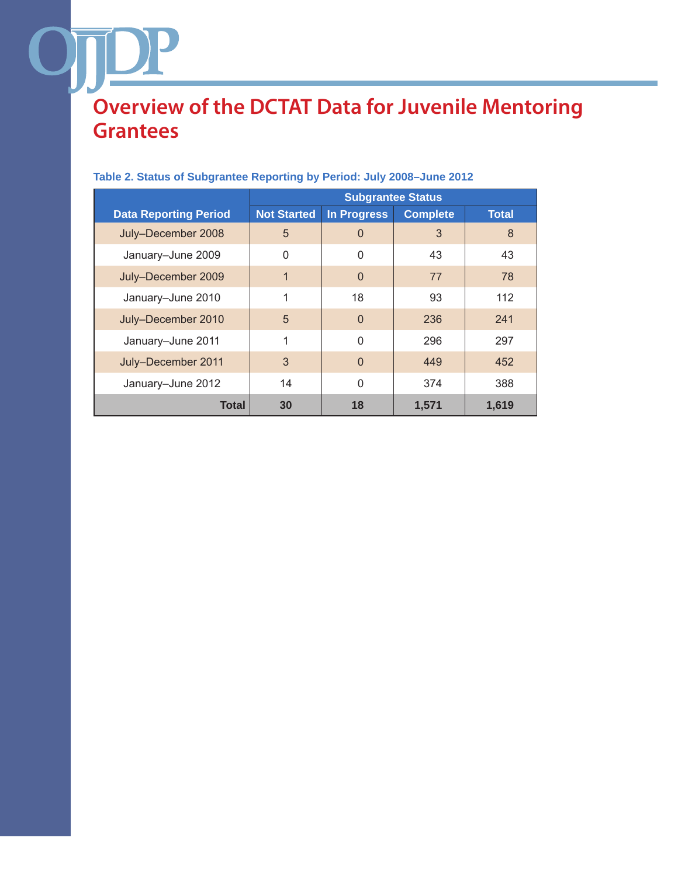|                              | <b>Subgrantee Status</b> |                    |                 |              |
|------------------------------|--------------------------|--------------------|-----------------|--------------|
| <b>Data Reporting Period</b> | <b>Not Started</b>       | <b>In Progress</b> | <b>Complete</b> | <b>Total</b> |
| July-December 2008           | 5                        | 0                  | 3               | 8            |
| January-June 2009            | $\Omega$                 | $\Omega$           | 43              | 43           |
| July-December 2009           | 1                        | 0                  | 77              | 78           |
| January-June 2010            | 1                        | 18                 | 93              | 112          |
| July-December 2010           | 5                        | $\Omega$           | 236             | 241          |
| January-June 2011            | 1                        | $\Omega$           | 296             | 297          |
| July-December 2011           | 3                        | $\Omega$           | 449             | 452          |
| January-June 2012            | 14                       | $\Omega$           | 374             | 388          |
| Total                        | 30                       | 18                 | 1,571           | 1,619        |

### **Table 2. Status of Subgrantee Reporting by Period: July 2008–June 2012**

JP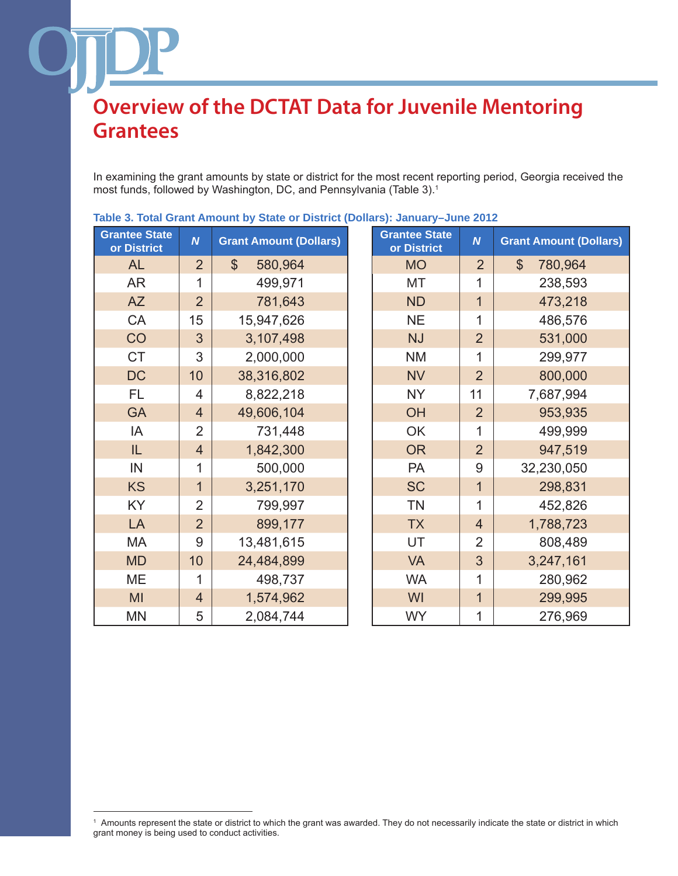In examining the grant amounts by state or district for the most recent reporting period, Georgia received the most funds, followed by Washington, DC, and Pennsylvania (Table 3).1

| <b>Grantee State</b><br>or District | $\boldsymbol{N}$ | <b>Grant Amount (Dollars)</b> | <b>Grantee State</b><br>or District | $\boldsymbol{N}$ | <b>Grant Amount (Dollars)</b> |
|-------------------------------------|------------------|-------------------------------|-------------------------------------|------------------|-------------------------------|
| <b>AL</b>                           | $\overline{2}$   | $\mathbb{S}$<br>580,964       | <b>MO</b>                           | $\overline{2}$   | $\mathbb{S}$<br>780,964       |
| <b>AR</b>                           | 1                | 499,971                       | MT                                  | 1                | 238,593                       |
| <b>AZ</b>                           | $\overline{2}$   | 781,643                       | <b>ND</b>                           | $\mathbf 1$      | 473,218                       |
| CA                                  | 15               | 15,947,626                    | <b>NE</b>                           | 1                | 486,576                       |
| CO                                  | 3                | 3,107,498                     | <b>NJ</b>                           | $\overline{2}$   | 531,000                       |
| <b>CT</b>                           | 3                | 2,000,000                     | <b>NM</b>                           | 1                | 299,977                       |
| <b>DC</b>                           | 10               | 38,316,802                    | <b>NV</b>                           | $\overline{2}$   | 800,000                       |
| FL.                                 | $\overline{4}$   | 8,822,218                     | <b>NY</b>                           | 11               | 7,687,994                     |
| <b>GA</b>                           | $\overline{4}$   | 49,606,104                    | OH                                  | $\overline{2}$   | 953,935                       |
| IA                                  | $\overline{2}$   | 731,448                       | OK                                  | 1                | 499,999                       |
| IL                                  | $\overline{4}$   | 1,842,300                     | <b>OR</b>                           | $\overline{2}$   | 947,519                       |
| IN                                  | 1                | 500,000                       | <b>PA</b>                           | 9                | 32,230,050                    |
| <b>KS</b>                           | $\mathbf{1}$     | 3,251,170                     | <b>SC</b>                           | 1                | 298,831                       |
| <b>KY</b>                           | $\overline{2}$   | 799,997                       | <b>TN</b>                           | 1                | 452,826                       |
| LA                                  | $\overline{2}$   | 899,177                       | <b>TX</b>                           | $\overline{4}$   | 1,788,723                     |
| MA                                  | 9                | 13,481,615                    | UT                                  | $\overline{2}$   | 808,489                       |
| <b>MD</b>                           | 10               | 24,484,899                    | <b>VA</b>                           | 3                | 3,247,161                     |
| ME                                  | 1                | 498,737                       | <b>WA</b>                           | 1                | 280,962                       |
| MI                                  | $\overline{4}$   | 1,574,962                     | WI                                  | $\mathbf{1}$     | 299,995                       |
| <b>MN</b>                           | 5                | 2,084,744                     | <b>WY</b>                           | 1                | 276,969                       |

**Table 3. Total Grant Amount by State or District (Dollars): January–June 2012**

<sup>1</sup> Amounts represent the state or district to which the grant was awarded. They do not necessarily indicate the state or district in which grant money is being used to conduct activities.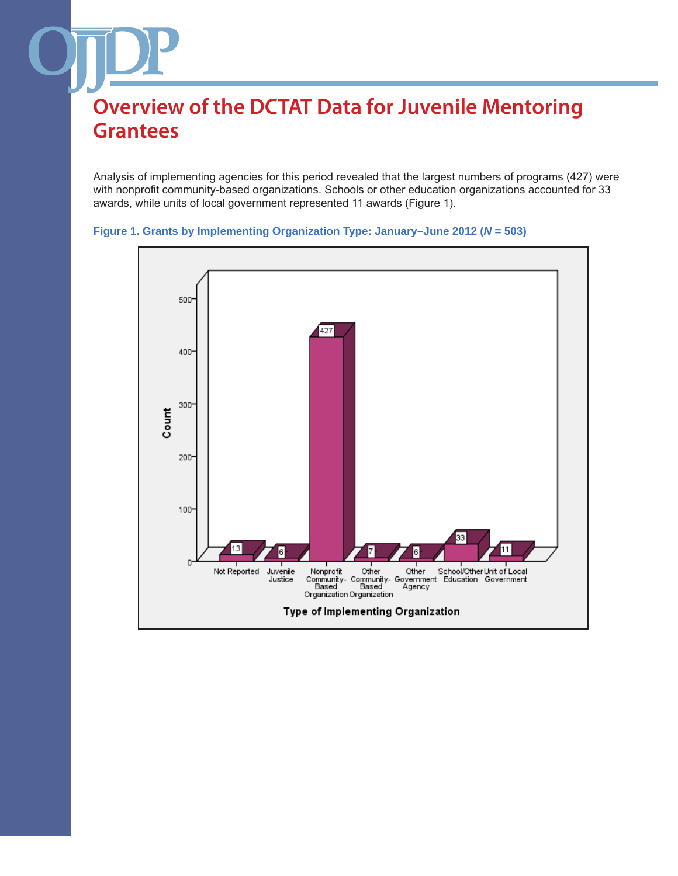Analysis of implementing agencies for this period revealed that the largest numbers of programs (427) were with nonprofit community-based organizations. Schools or other education organizations accounted for 33 awards, while units of local government represented 11 awards (Figure 1).



### **Figure 1. Grants by Implementing Organization Type: January–June 2012 (***N* **= 503)**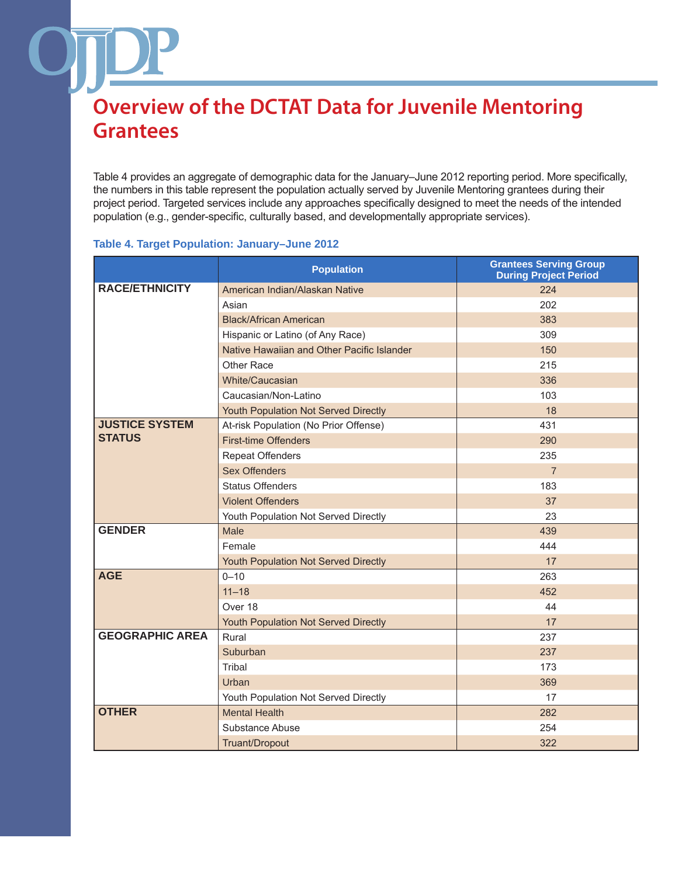Table 4 provides an aggregate of demographic data for the January–June 2012 reporting period. More specifically, the numbers in this table represent the population actually served by Juvenile Mentoring grantees during their project period. Targeted services include any approaches specifically designed to meet the needs of the intended population (e.g., gender-specific, culturally based, and developmentally appropriate services).

#### **Table 4. Target Population: January–June 2012**

|                        | <b>Population</b>                          | <b>Grantees Serving Group</b><br><b>During Project Period</b> |
|------------------------|--------------------------------------------|---------------------------------------------------------------|
| <b>RACE/ETHNICITY</b>  | American Indian/Alaskan Native             | 224                                                           |
|                        | Asian                                      | 202                                                           |
|                        | <b>Black/African American</b>              | 383                                                           |
|                        | Hispanic or Latino (of Any Race)           | 309                                                           |
|                        | Native Hawaiian and Other Pacific Islander | 150                                                           |
|                        | Other Race                                 | 215                                                           |
|                        | White/Caucasian                            | 336                                                           |
|                        | Caucasian/Non-Latino                       | 103                                                           |
|                        | Youth Population Not Served Directly       | 18                                                            |
| <b>JUSTICE SYSTEM</b>  | At-risk Population (No Prior Offense)      | 431                                                           |
| <b>STATUS</b>          | <b>First-time Offenders</b>                | 290                                                           |
|                        | <b>Repeat Offenders</b>                    | 235                                                           |
|                        | <b>Sex Offenders</b>                       | $\overline{7}$                                                |
|                        | <b>Status Offenders</b>                    | 183                                                           |
|                        | <b>Violent Offenders</b>                   | 37                                                            |
|                        | Youth Population Not Served Directly       | 23                                                            |
| <b>GENDER</b>          | Male                                       | 439                                                           |
|                        | Female                                     | 444                                                           |
|                        | Youth Population Not Served Directly       | 17                                                            |
| <b>AGE</b>             | $0 - 10$                                   | 263                                                           |
|                        | $11 - 18$                                  | 452                                                           |
|                        | Over 18                                    | 44                                                            |
|                        | Youth Population Not Served Directly       | 17                                                            |
| <b>GEOGRAPHIC AREA</b> | Rural                                      | 237                                                           |
|                        | Suburban                                   | 237                                                           |
|                        | Tribal                                     | 173                                                           |
|                        | Urban                                      | 369                                                           |
|                        | Youth Population Not Served Directly       | 17                                                            |
| <b>OTHER</b>           | <b>Mental Health</b>                       | 282                                                           |
|                        | Substance Abuse                            | 254                                                           |
|                        | Truant/Dropout                             | 322                                                           |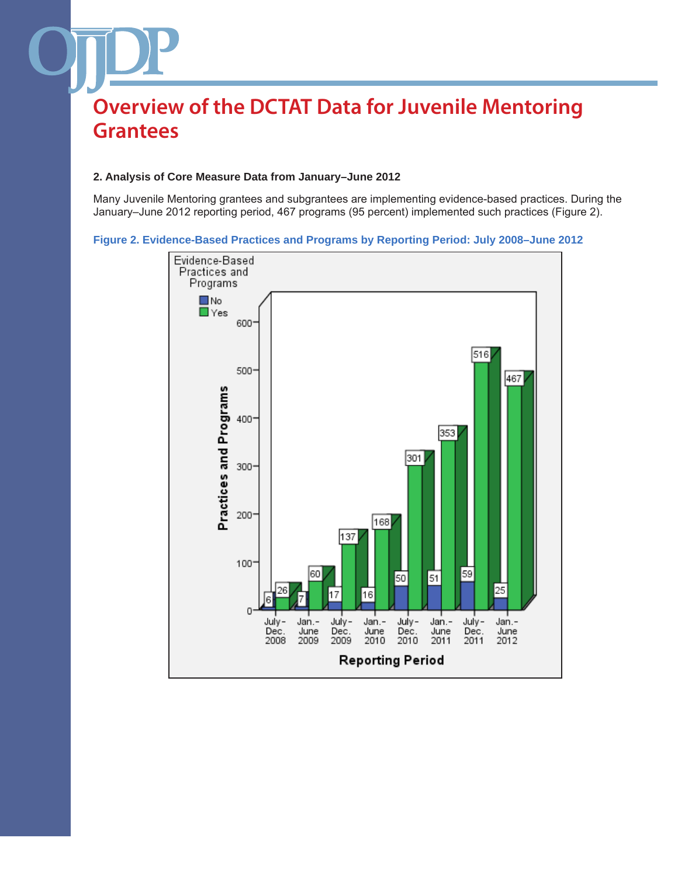### **2. Analysis of Core Measure Data from January–June 2012**

Many Juvenile Mentoring grantees and subgrantees are implementing evidence-based practices. During the January–June 2012 reporting period, 467 programs (95 percent) implemented such practices (Figure 2).

#### **Figure 2. Evidence-Based Practices and Programs by Reporting Period: July 2008–June 2012**

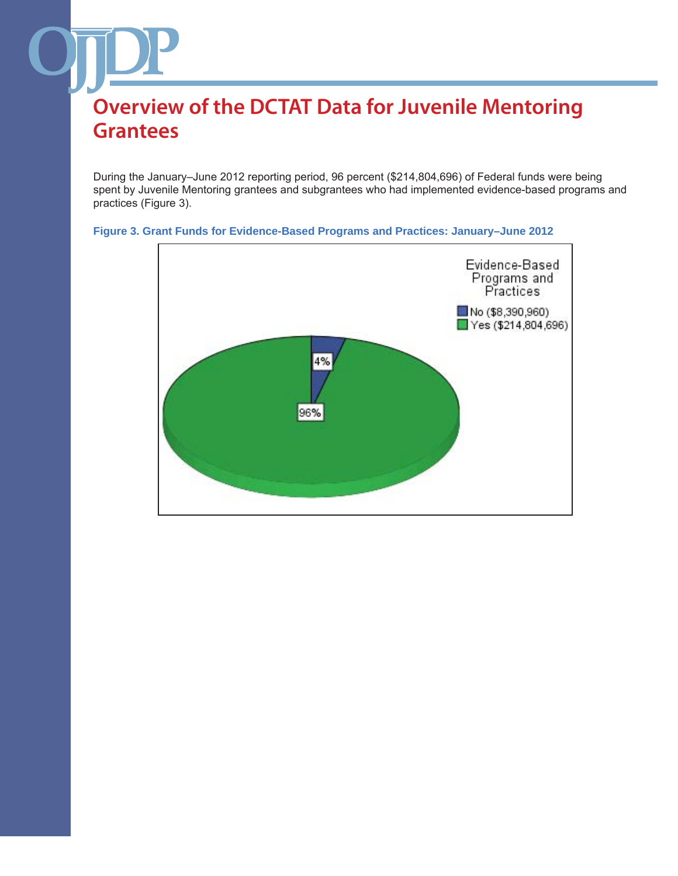During the January–June 2012 reporting period, 96 percent (\$214,804,696) of Federal funds were being spent by Juvenile Mentoring grantees and subgrantees who had implemented evidence-based programs and practices (Figure 3).



### **Figure 3. Grant Funds for Evidence-Based Programs and Practices: January–June 2012**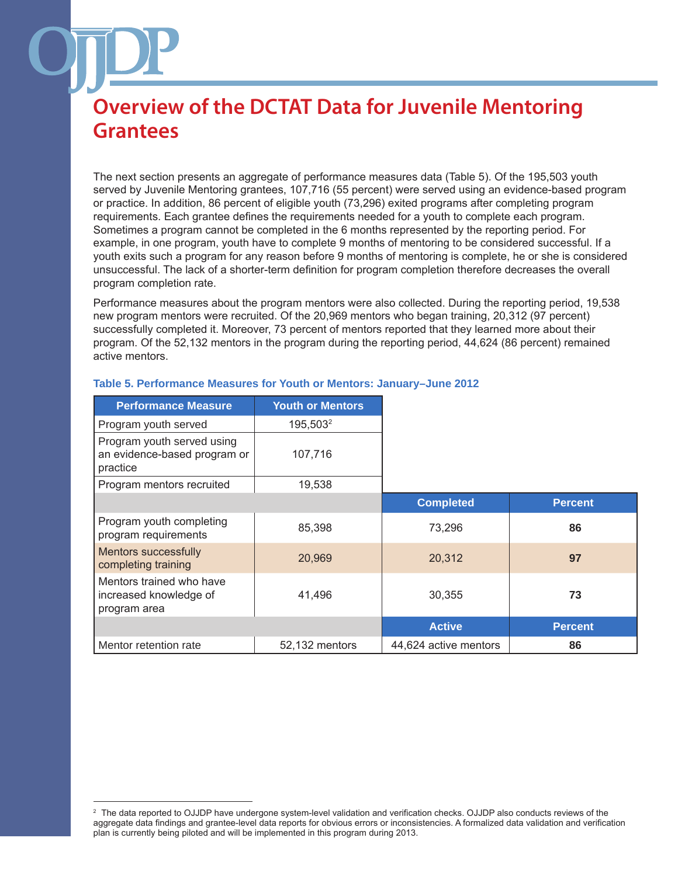The next section presents an aggregate of performance measures data (Table 5). Of the 195,503 youth served by Juvenile Mentoring grantees, 107,716 (55 percent) were served using an evidence-based program or practice. In addition, 86 percent of eligible youth (73,296) exited programs after completing program requirements. Each grantee defines the requirements needed for a youth to complete each program. Sometimes a program cannot be completed in the 6 months represented by the reporting period. For example, in one program, youth have to complete 9 months of mentoring to be considered successful. If a youth exits such a program for any reason before 9 months of mentoring is complete, he or she is considered unsuccessful. The lack of a shorter-term definition for program completion therefore decreases the overall program completion rate.

Performance measures about the program mentors were also collected. During the reporting period, 19,538 new program mentors were recruited. Of the 20,969 mentors who began training, 20,312 (97 percent) successfully completed it. Moreover, 73 percent of mentors reported that they learned more about their program. Of the 52,132 mentors in the program during the reporting period, 44,624 (86 percent) remained active mentors.

| <b>Performance Measure</b>                                             | <b>Youth or Mentors</b> |                       |                |
|------------------------------------------------------------------------|-------------------------|-----------------------|----------------|
| Program youth served                                                   | 195,503 <sup>2</sup>    |                       |                |
| Program youth served using<br>an evidence-based program or<br>practice | 107,716                 |                       |                |
| Program mentors recruited                                              | 19,538                  |                       |                |
|                                                                        |                         | <b>Completed</b>      | <b>Percent</b> |
| Program youth completing<br>program requirements                       | 85,398                  | 73,296                | 86             |
| Mentors successfully<br>completing training                            | 20,969                  | 20,312                | 97             |
| Mentors trained who have<br>increased knowledge of<br>program area     | 41,496                  | 30,355                | 73             |
|                                                                        |                         | <b>Active</b>         | <b>Percent</b> |
| Mentor retention rate                                                  | 52,132 mentors          | 44,624 active mentors | 86             |

### **Table 5. Performance Measures for Youth or Mentors: January–June 20122**

<sup>2</sup> The data reported to OJJDP have undergone system-level validation and verification checks. OJJDP also conducts reviews of the aggregate data findings and grantee-level data reports for obvious errors or inconsistencies. A formalized data validation and verification plan is currently being piloted and will be implemented in this program during 2013.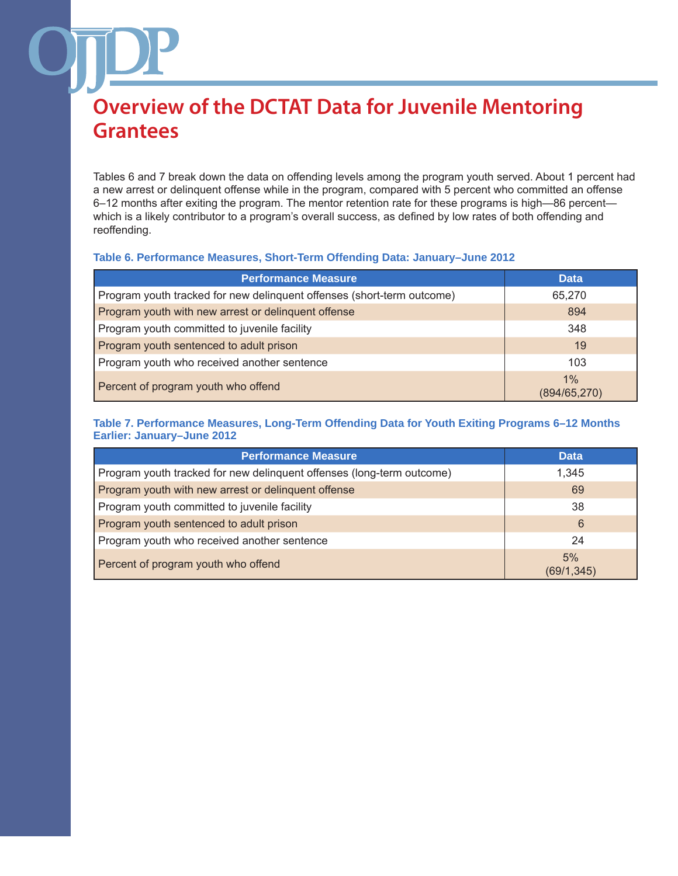Tables 6 and 7 break down the data on offending levels among the program youth served. About 1 percent had a new arrest or delinquent offense while in the program, compared with 5 percent who committed an offense 6–12 months after exiting the program. The mentor retention rate for these programs is high—86 percent which is a likely contributor to a program's overall success, as defined by low rates of both offending and reoffending.

### **Table 6. Performance Measures, Short-Term Offending Data: January–June 2012**

| <b>Performance Measure</b>                                             | <b>Data</b>         |
|------------------------------------------------------------------------|---------------------|
| Program youth tracked for new delinquent offenses (short-term outcome) | 65,270              |
| Program youth with new arrest or delinquent offense                    | 894                 |
| Program youth committed to juvenile facility                           | 348                 |
| Program youth sentenced to adult prison                                | 19                  |
| Program youth who received another sentence                            | 103                 |
| Percent of program youth who offend                                    | 1%<br>(894/65, 270) |

### **Table 7. Performance Measures, Long-Term Offending Data for Youth Exiting Programs 6–12 Months Earlier: January–June 2012**

| <b>Performance Measure</b>                                            | <b>Data</b>      |
|-----------------------------------------------------------------------|------------------|
| Program youth tracked for new delinquent offenses (long-term outcome) | 1,345            |
| Program youth with new arrest or delinguent offense                   | 69               |
| Program youth committed to juvenile facility                          | 38               |
| Program youth sentenced to adult prison                               | 6                |
| Program youth who received another sentence                           | 24               |
| Percent of program youth who offend                                   | 5%<br>(69/1,345) |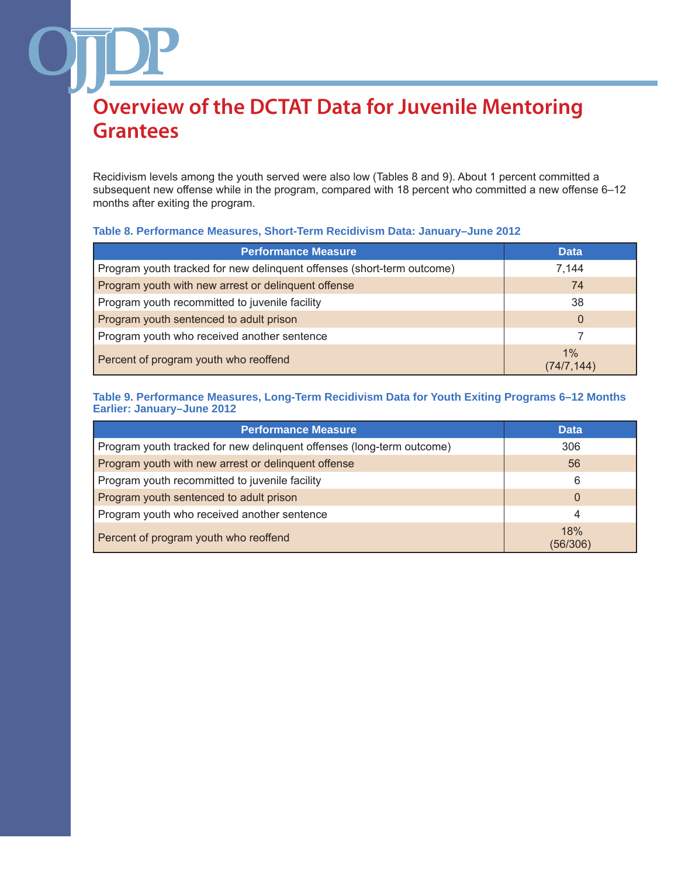Recidivism levels among the youth served were also low (Tables 8 and 9). About 1 percent committed a subsequent new offense while in the program, compared with 18 percent who committed a new offense 6-12 months after exiting the program.

### **Table 8. Performance Measures, Short-Term Recidivism Data: January–June 2012**

| <b>Performance Measure</b>                                             | <b>Data</b>         |
|------------------------------------------------------------------------|---------------------|
| Program youth tracked for new delinquent offenses (short-term outcome) | 7.144               |
| Program youth with new arrest or delinquent offense                    | 74                  |
| Program youth recommitted to juvenile facility                         | 38                  |
| Program youth sentenced to adult prison                                | $\Omega$            |
| Program youth who received another sentence                            |                     |
| Percent of program youth who reoffend                                  | $1\%$<br>(74/7,144) |

### **Table 9. Performance Measures, Long-Term Recidivism Data for Youth Exiting Programs 6–12 Months Earlier: January–June 2012**

| <b>Performance Measure</b>                                            | <b>Data</b>     |
|-----------------------------------------------------------------------|-----------------|
| Program youth tracked for new delinguent offenses (long-term outcome) | 306             |
| Program youth with new arrest or delinquent offense                   | 56              |
| Program youth recommitted to juvenile facility                        | 6               |
| Program youth sentenced to adult prison                               | $\overline{0}$  |
| Program youth who received another sentence                           | 4               |
| Percent of program youth who reoffend                                 | 18%<br>(56/306) |